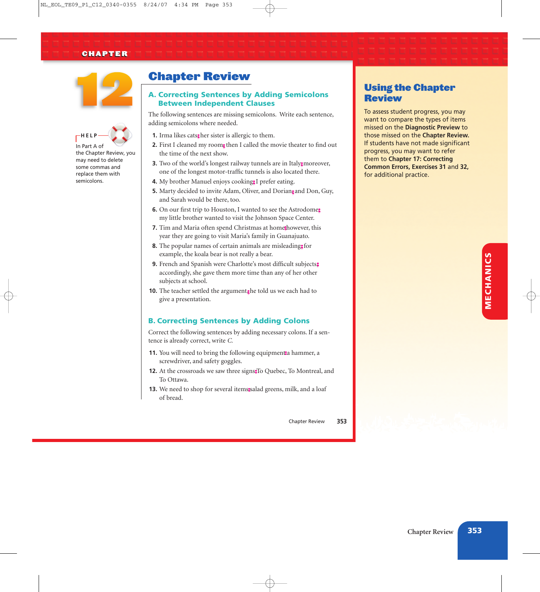## CHAPTER





the Chapter Review, you may need to delete some commas and replace them with semicolons.

# Chapter Review

## A. Correcting Sentences by Adding Semicolons Between Independent Clauses

*The following sentences are missing semicolons. Write each sentence, adding semicolons where needed.*

- 1. Irma likes cats; her sister is allergic to them.
- **2.** First I cleaned my room; then I called the movie theater to find out *the time of the next show.*
- **3.** Two of the world's longest railway tunnels are in Italy; moreover, *one of the longest motor-traffic tunnels is also located there.*
- **4.** *My brother Manuel enjoys cooking, I prefer eating.* ;
- **5.** Marty decided to invite Adam, Oliver, and Dorians and Don, Guy, *and Sarah would be there, too.*
- **6.** *On our first trip to Houston, I wanted to see the Astrodome,* ; *my little brother wanted to visit the Johnson Space Center.*
- 7. Tim and Maria often spend Christmas at home however, this *year they are going to visit Maria's family in Guanajuato.*
- **8.** *The popular names of certain animals are misleading, for* ; *example, the koala bear is not really a bear.*
- **9.** *French and Spanish were Charlotte's most difficult subjects,* ; *accordingly, she gave them more time than any of her other subjects at school.*
- 10. The teacher settled the argument<sub>s</sub>he told us we each had to *give a presentation.*

## B. Correcting Sentences by Adding Colons

*Correct the following sentences by adding necessary colons. If a sentence is already correct, write C.*

- 11. You will need to bring the following equipment: hammer, a *screwdriver, and safety goggles.*
- **12.** *At the crossroads we saw three signs To Quebec, To Montreal, and* : *To Ottawa.*
- **13.** *We need to shop for several items salad greens, milk, and a loaf* : *of bread.*